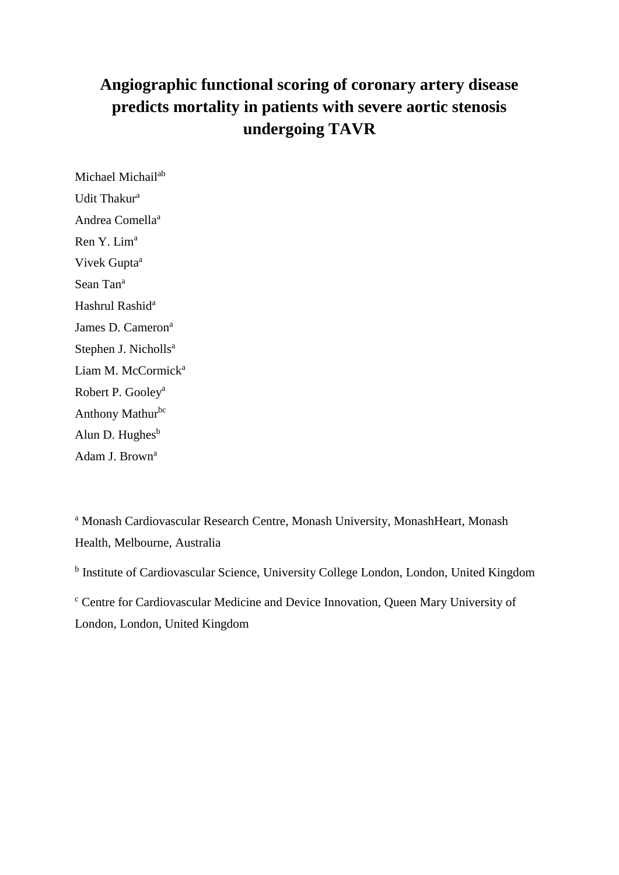# **Angiographic functional scoring of coronary artery disease predicts mortality in patients with severe aortic stenosis undergoing TAVR**

Michael Michail<sup>ab</sup> Udit Thakur<sup>a</sup> Andrea Comella<sup>a</sup> Ren Y. Lim<sup>a</sup> Vivek Gupta<sup>a</sup> Sean Tan<sup>a</sup> Hashrul Rashid<sup>a</sup> James D. Cameron<sup>a</sup> Stephen J. Nicholls<sup>a</sup> Liam M. McCormick<sup>a</sup> Robert P. Gooley<sup>a</sup> Anthony Mathurbc Alun D. Hughes $<sup>b</sup>$ </sup> Adam J. Brown<sup>a</sup>

<sup>a</sup> Monash Cardiovascular Research Centre, Monash University, MonashHeart, Monash Health, Melbourne, Australia

<sup>b</sup> Institute of Cardiovascular Science, University College London, London, United Kingdom

<sup>c</sup> Centre for Cardiovascular Medicine and Device Innovation, Queen Mary University of London, London, United Kingdom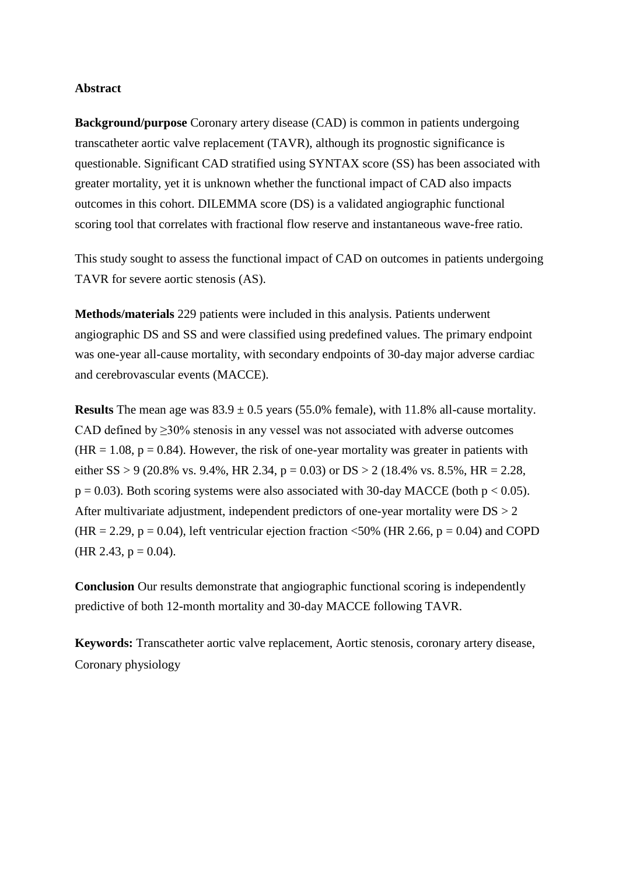#### **Abstract**

**Background/purpose** Coronary artery disease (CAD) is common in patients undergoing transcatheter aortic valve replacement (TAVR), although its prognostic significance is questionable. Significant CAD stratified using SYNTAX score (SS) has been associated with greater mortality, yet it is unknown whether the functional impact of CAD also impacts outcomes in this cohort. DILEMMA score (DS) is a validated angiographic functional scoring tool that correlates with fractional flow reserve and instantaneous wave-free ratio.

This study sought to assess the functional impact of CAD on outcomes in patients undergoing TAVR for severe aortic stenosis (AS).

**Methods/materials** 229 patients were included in this analysis. Patients underwent angiographic DS and SS and were classified using predefined values. The primary endpoint was one-year all-cause mortality, with secondary endpoints of 30-day major adverse cardiac and cerebrovascular events (MACCE).

**Results** The mean age was  $83.9 \pm 0.5$  years (55.0% female), with 11.8% all-cause mortality. CAD defined by ≥30% stenosis in any vessel was not associated with adverse outcomes  $(HR = 1.08, p = 0.84)$ . However, the risk of one-year mortality was greater in patients with either SS > 9 (20.8% vs. 9.4%, HR 2.34, p = 0.03) or DS > 2 (18.4% vs. 8.5%, HR = 2.28,  $p = 0.03$ ). Both scoring systems were also associated with 30-day MACCE (both  $p < 0.05$ ). After multivariate adjustment, independent predictors of one-year mortality were  $DS > 2$  $(HR = 2.29, p = 0.04)$ , left ventricular ejection fraction <50% (HR 2.66, p = 0.04) and COPD (HR 2.43,  $p = 0.04$ ).

**Conclusion** Our results demonstrate that angiographic functional scoring is independently predictive of both 12-month mortality and 30-day MACCE following TAVR.

**Keywords:** Transcatheter aortic valve replacement, Aortic stenosis, coronary artery disease, Coronary physiology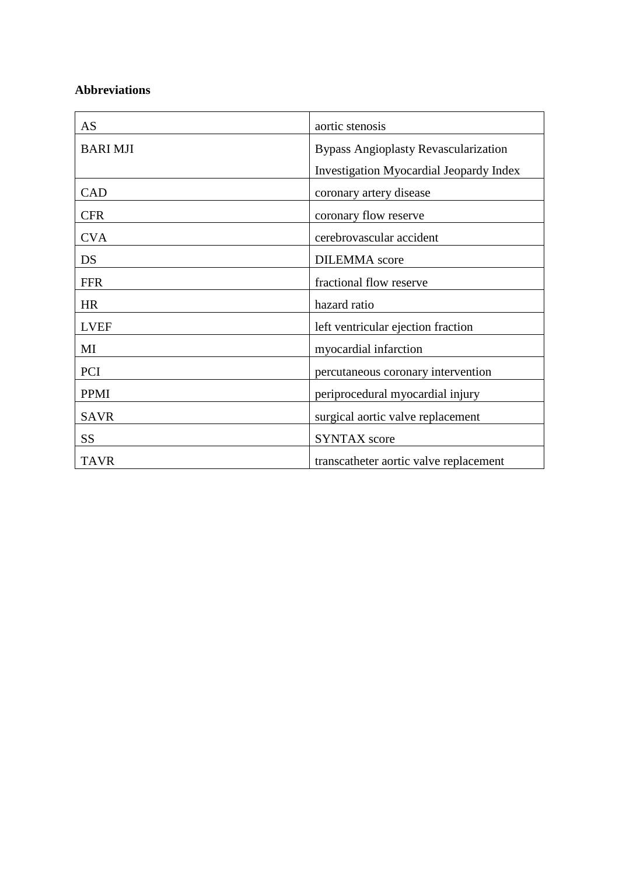# **Abbreviations**

| AS              | aortic stenosis                                |
|-----------------|------------------------------------------------|
| <b>BARI MJI</b> | <b>Bypass Angioplasty Revascularization</b>    |
|                 | <b>Investigation Myocardial Jeopardy Index</b> |
| <b>CAD</b>      | coronary artery disease                        |
| <b>CFR</b>      | coronary flow reserve                          |
| <b>CVA</b>      | cerebrovascular accident                       |
| DS              | <b>DILEMMA</b> score                           |
| <b>FFR</b>      | fractional flow reserve                        |
| <b>HR</b>       | hazard ratio                                   |
| <b>LVEF</b>     | left ventricular ejection fraction             |
| MI              | myocardial infarction                          |
| PCI             | percutaneous coronary intervention             |
| PPMI            | periprocedural myocardial injury               |
| <b>SAVR</b>     | surgical aortic valve replacement              |
| SS              | <b>SYNTAX</b> score                            |
| <b>TAVR</b>     | transcatheter aortic valve replacement         |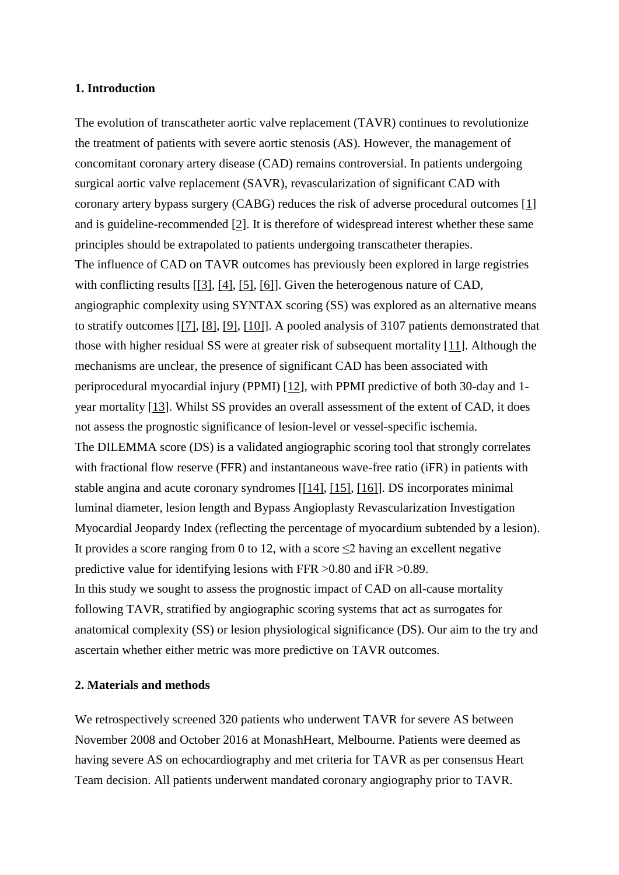#### **1. Introduction**

The evolution of transcatheter aortic valve replacement (TAVR) continues to revolutionize the treatment of patients with severe aortic stenosis (AS). However, the management of concomitant coronary artery disease (CAD) remains controversial. In patients undergoing surgical aortic valve replacement (SAVR), revascularization of significant CAD with coronary artery bypass surgery (CABG) reduces the risk of adverse procedural outcomes [1] and is guideline-recommended [2]. It is therefore of widespread interest whether these same principles should be extrapolated to patients undergoing transcatheter therapies. The influence of CAD on TAVR outcomes has previously been explored in large registries with conflicting results [[3], [4], [5], [6]]. Given the heterogenous nature of CAD, angiographic complexity using SYNTAX scoring (SS) was explored as an alternative means to stratify outcomes [[7], [8], [9], [10]]. A pooled analysis of 3107 patients demonstrated that those with higher residual SS were at greater risk of subsequent mortality [11]. Although the mechanisms are unclear, the presence of significant CAD has been associated with periprocedural myocardial injury (PPMI) [12], with PPMI predictive of both 30-day and 1 year mortality [13]. Whilst SS provides an overall assessment of the extent of CAD, it does not assess the prognostic significance of lesion-level or vessel-specific ischemia. The DILEMMA score (DS) is a validated angiographic scoring tool that strongly correlates with fractional flow reserve (FFR) and instantaneous wave-free ratio (iFR) in patients with stable angina and acute coronary syndromes [[14], [15], [16]]. DS incorporates minimal luminal diameter, lesion length and Bypass Angioplasty Revascularization Investigation Myocardial Jeopardy Index (reflecting the percentage of myocardium subtended by a lesion). It provides a score ranging from 0 to 12, with a score  $\leq$ 2 having an excellent negative predictive value for identifying lesions with FFR >0.80 and iFR >0.89. In this study we sought to assess the prognostic impact of CAD on all-cause mortality following TAVR, stratified by angiographic scoring systems that act as surrogates for anatomical complexity (SS) or lesion physiological significance (DS). Our aim to the try and ascertain whether either metric was more predictive on TAVR outcomes.

#### **2. Materials and methods**

We retrospectively screened 320 patients who underwent TAVR for severe AS between November 2008 and October 2016 at MonashHeart, Melbourne. Patients were deemed as having severe AS on echocardiography and met criteria for TAVR as per consensus Heart Team decision. All patients underwent mandated coronary angiography prior to TAVR.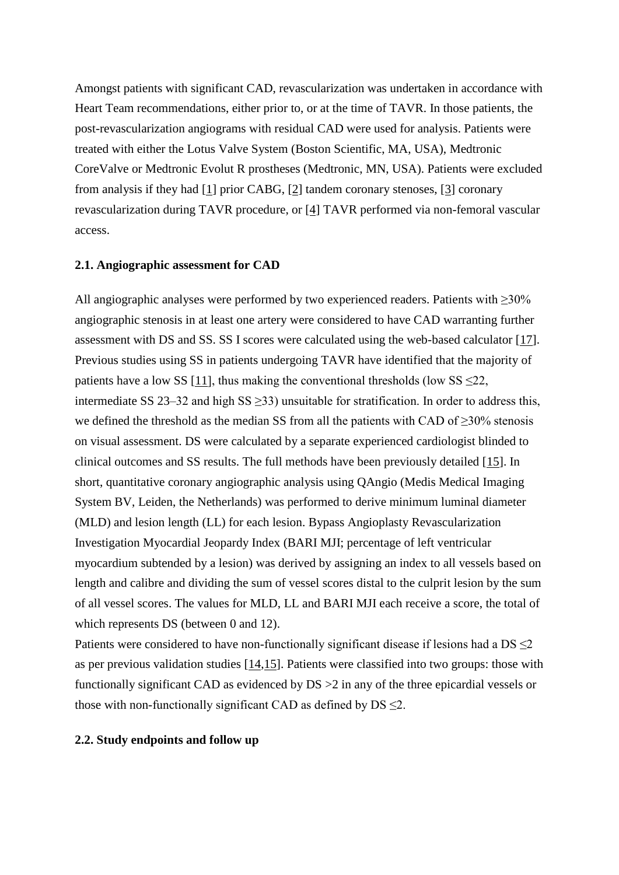Amongst patients with significant CAD, revascularization was undertaken in accordance with Heart Team recommendations, either prior to, or at the time of TAVR. In those patients, the post-revascularization angiograms with residual CAD were used for analysis. Patients were treated with either the Lotus Valve System (Boston Scientific, MA, USA), Medtronic CoreValve or Medtronic Evolut R prostheses (Medtronic, MN, USA). Patients were excluded from analysis if they had [1] prior CABG, [2] tandem coronary stenoses, [3] coronary revascularization during TAVR procedure, or [4] TAVR performed via non-femoral vascular access.

#### **2.1. Angiographic assessment for CAD**

All angiographic analyses were performed by two experienced readers. Patients with ≥30% angiographic stenosis in at least one artery were considered to have CAD warranting further assessment with DS and SS. SS I scores were calculated using the web-based calculator [17]. Previous studies using SS in patients undergoing TAVR have identified that the majority of patients have a low SS [11], thus making the conventional thresholds (low SS  $\leq$ 22, intermediate SS 23–32 and high SS  $\geq$ 33) unsuitable for stratification. In order to address this, we defined the threshold as the median SS from all the patients with CAD of  $\geq$ 30% stenosis on visual assessment. DS were calculated by a separate experienced cardiologist blinded to clinical outcomes and SS results. The full methods have been previously detailed [15]. In short, quantitative coronary angiographic analysis using QAngio (Medis Medical Imaging System BV, Leiden, the Netherlands) was performed to derive minimum luminal diameter (MLD) and lesion length (LL) for each lesion. Bypass Angioplasty Revascularization Investigation Myocardial Jeopardy Index (BARI MJI; percentage of left ventricular myocardium subtended by a lesion) was derived by assigning an index to all vessels based on length and calibre and dividing the sum of vessel scores distal to the culprit lesion by the sum of all vessel scores. The values for MLD, LL and BARI MJI each receive a score, the total of which represents DS (between 0 and 12).

Patients were considered to have non-functionally significant disease if lesions had a  $DS \leq 2$ as per previous validation studies [14,15]. Patients were classified into two groups: those with functionally significant CAD as evidenced by DS >2 in any of the three epicardial vessels or those with non-functionally significant CAD as defined by  $DS \leq 2$ .

#### **2.2. Study endpoints and follow up**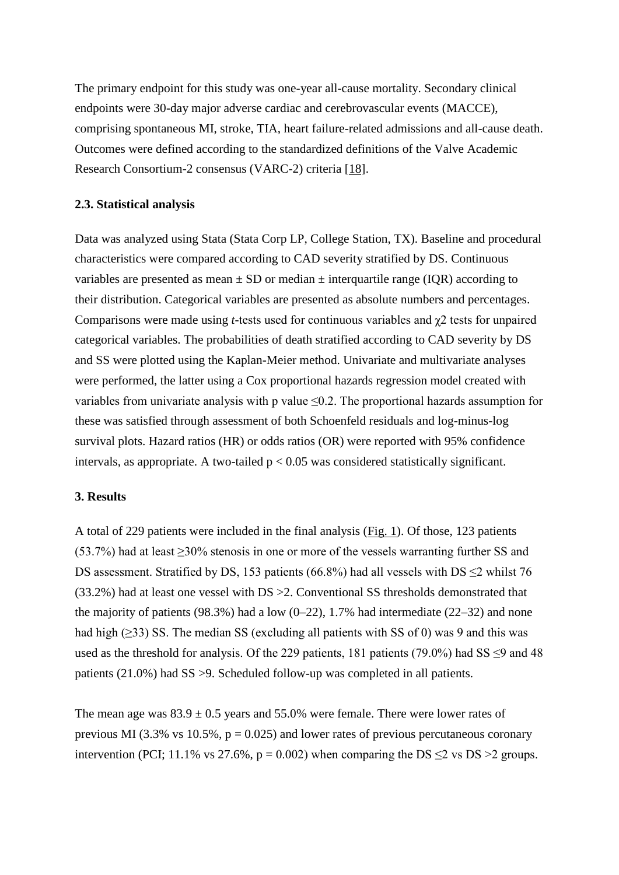The primary endpoint for this study was one-year all-cause mortality. Secondary clinical endpoints were 30-day major adverse cardiac and cerebrovascular events (MACCE), comprising spontaneous MI, stroke, TIA, heart failure-related admissions and all-cause death. Outcomes were defined according to the standardized definitions of the Valve Academic Research Consortium-2 consensus (VARC-2) criteria [18].

#### **2.3. Statistical analysis**

Data was analyzed using Stata (Stata Corp LP, College Station, TX). Baseline and procedural characteristics were compared according to CAD severity stratified by DS. Continuous variables are presented as mean  $\pm$  SD or median  $\pm$  interquartile range (IQR) according to their distribution. Categorical variables are presented as absolute numbers and percentages. Comparisons were made using *t*-tests used for continuous variables and χ2 tests for unpaired categorical variables. The probabilities of death stratified according to CAD severity by DS and SS were plotted using the Kaplan-Meier method. Univariate and multivariate analyses were performed, the latter using a Cox proportional hazards regression model created with variables from univariate analysis with p value  $\leq 0.2$ . The proportional hazards assumption for these was satisfied through assessment of both Schoenfeld residuals and log-minus-log survival plots. Hazard ratios (HR) or odds ratios (OR) were reported with 95% confidence intervals, as appropriate. A two-tailed  $p < 0.05$  was considered statistically significant.

### **3. Results**

A total of 229 patients were included in the final analysis (Fig. 1). Of those, 123 patients (53.7%) had at least ≥30% stenosis in one or more of the vessels warranting further SS and DS assessment. Stratified by DS, 153 patients (66.8%) had all vessels with DS  $\leq$ 2 whilst 76 (33.2%) had at least one vessel with DS >2. Conventional SS thresholds demonstrated that the majority of patients (98.3%) had a low (0–22), 1.7% had intermediate (22–32) and none had high (≥33) SS. The median SS (excluding all patients with SS of 0) was 9 and this was used as the threshold for analysis. Of the 229 patients, 181 patients (79.0%) had SS  $\leq$ 9 and 48 patients (21.0%) had SS >9. Scheduled follow-up was completed in all patients.

The mean age was  $83.9 \pm 0.5$  years and 55.0% were female. There were lower rates of previous MI (3.3% vs 10.5%,  $p = 0.025$ ) and lower rates of previous percutaneous coronary intervention (PCI; 11.1% vs 27.6%,  $p = 0.002$ ) when comparing the DS  $\leq$ 2 vs DS  $>$ 2 groups.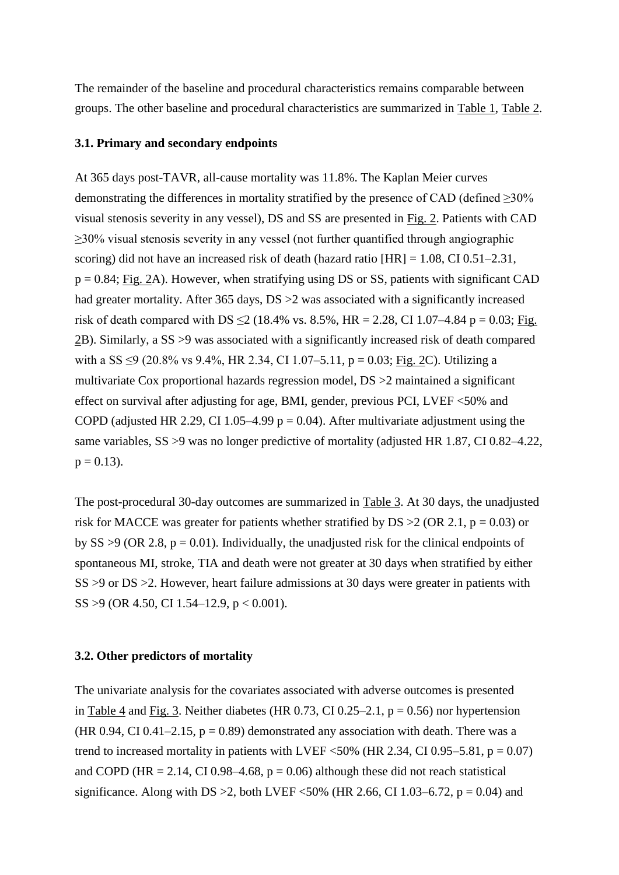The remainder of the baseline and procedural characteristics remains comparable between groups. The other baseline and procedural characteristics are summarized in Table 1, Table 2.

#### **3.1. Primary and secondary endpoints**

At 365 days post-TAVR, all-cause mortality was 11.8%. The Kaplan Meier curves demonstrating the differences in mortality stratified by the presence of CAD (defined ≥30% visual stenosis severity in any vessel), DS and SS are presented in Fig. 2. Patients with CAD ≥30% visual stenosis severity in any vessel (not further quantified through angiographic scoring) did not have an increased risk of death (hazard ratio [HR] = 1.08, CI 0.51–2.31,  $p = 0.84$ ; Fig. 2A). However, when stratifying using DS or SS, patients with significant CAD had greater mortality. After 365 days, DS  $>2$  was associated with a significantly increased risk of death compared with DS  $\leq$  2 (18.4% vs. 8.5%, HR = 2.28, CI 1.07–4.84 p = 0.03; Fig. 2B). Similarly, a SS >9 was associated with a significantly increased risk of death compared with a SS  $\leq$ 9 (20.8% vs 9.4%, HR 2.34, CI 1.07–5.11, p = 0.03; Fig. 2C). Utilizing a multivariate Cox proportional hazards regression model, DS >2 maintained a significant effect on survival after adjusting for age, BMI, gender, previous PCI, LVEF <50% and COPD (adjusted HR 2.29, CI 1.05–4.99  $p = 0.04$ ). After multivariate adjustment using the same variables, SS >9 was no longer predictive of mortality (adjusted HR 1.87, CI 0.82–4.22,  $p = 0.13$ .

The post-procedural 30-day outcomes are summarized in Table 3. At 30 days, the unadjusted risk for MACCE was greater for patients whether stratified by  $DS > 2$  (OR 2.1, p = 0.03) or by SS  $>9$  (OR 2.8, p = 0.01). Individually, the unadjusted risk for the clinical endpoints of spontaneous MI, stroke, TIA and death were not greater at 30 days when stratified by either SS >9 or DS >2. However, heart failure admissions at 30 days were greater in patients with SS >9 (OR 4.50, CI 1.54–12.9, p < 0.001).

#### **3.2. Other predictors of mortality**

The univariate analysis for the covariates associated with adverse outcomes is presented in Table 4 and Fig. 3. Neither diabetes (HR  $0.73$ , CI  $0.25-2.1$ , p = 0.56) nor hypertension (HR 0.94, CI 0.41–2.15,  $p = 0.89$ ) demonstrated any association with death. There was a trend to increased mortality in patients with LVEF  $\langle 50\% \rangle$  (HR 2.34, CI 0.95–5.81, p = 0.07) and COPD (HR = 2.14, CI 0.98–4.68,  $p = 0.06$ ) although these did not reach statistical significance. Along with DS  $>2$ , both LVEF <50% (HR 2.66, CI 1.03–6.72, p = 0.04) and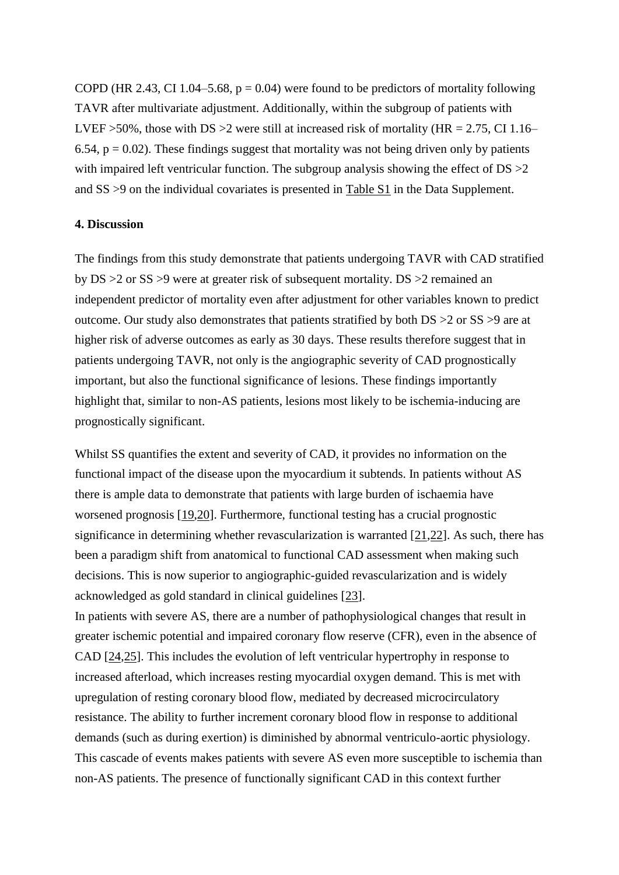COPD (HR 2.43, CI 1.04–5.68,  $p = 0.04$ ) were found to be predictors of mortality following TAVR after multivariate adjustment. Additionally, within the subgroup of patients with LVEF >50%, those with DS >2 were still at increased risk of mortality (HR = 2.75, CI 1.16– 6.54,  $p = 0.02$ ). These findings suggest that mortality was not being driven only by patients with impaired left ventricular function. The subgroup analysis showing the effect of  $DS > 2$ and SS >9 on the individual covariates is presented in Table S1 in the Data Supplement.

## **4. Discussion**

The findings from this study demonstrate that patients undergoing TAVR with CAD stratified by DS >2 or SS >9 were at greater risk of subsequent mortality. DS >2 remained an independent predictor of mortality even after adjustment for other variables known to predict outcome. Our study also demonstrates that patients stratified by both DS >2 or SS >9 are at higher risk of adverse outcomes as early as 30 days. These results therefore suggest that in patients undergoing TAVR, not only is the angiographic severity of CAD prognostically important, but also the functional significance of lesions. These findings importantly highlight that, similar to non-AS patients, lesions most likely to be ischemia-inducing are prognostically significant.

Whilst SS quantifies the extent and severity of CAD, it provides no information on the functional impact of the disease upon the myocardium it subtends. In patients without AS there is ample data to demonstrate that patients with large burden of ischaemia have worsened prognosis [19,20]. Furthermore, functional testing has a crucial prognostic significance in determining whether revascularization is warranted [21,22]. As such, there has been a paradigm shift from anatomical to functional CAD assessment when making such decisions. This is now superior to angiographic-guided revascularization and is widely acknowledged as gold standard in clinical guidelines [23].

In patients with severe AS, there are a number of pathophysiological changes that result in greater ischemic potential and impaired coronary flow reserve (CFR), even in the absence of CAD [24,25]. This includes the evolution of left ventricular hypertrophy in response to increased afterload, which increases resting myocardial oxygen demand. This is met with upregulation of resting coronary blood flow, mediated by decreased microcirculatory resistance. The ability to further increment coronary blood flow in response to additional demands (such as during exertion) is diminished by abnormal ventriculo-aortic physiology. This cascade of events makes patients with severe AS even more susceptible to ischemia than non-AS patients. The presence of functionally significant CAD in this context further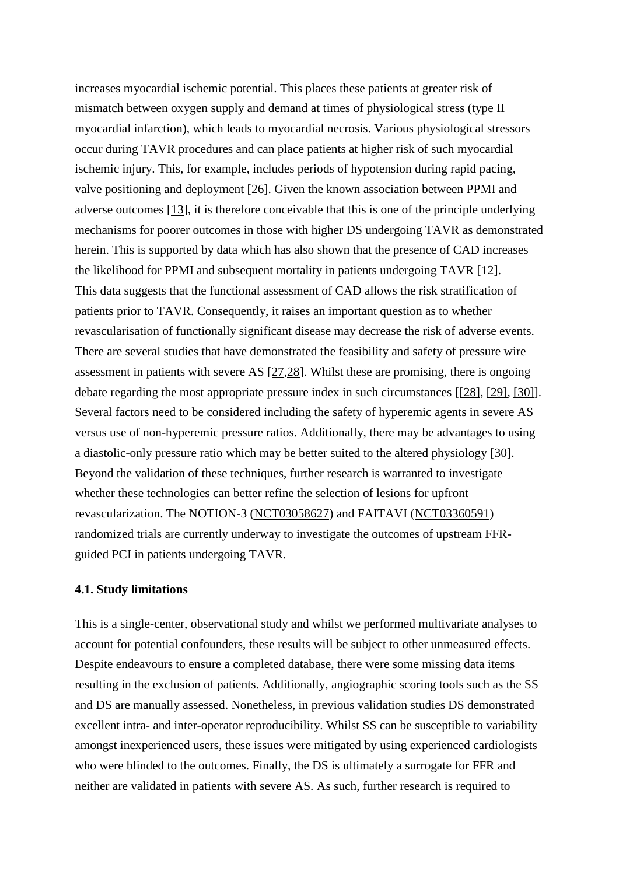increases myocardial ischemic potential. This places these patients at greater risk of mismatch between oxygen supply and demand at times of physiological stress (type II myocardial infarction), which leads to myocardial necrosis. Various physiological stressors occur during TAVR procedures and can place patients at higher risk of such myocardial ischemic injury. This, for example, includes periods of hypotension during rapid pacing, valve positioning and deployment [26]. Given the known association between PPMI and adverse outcomes [13], it is therefore conceivable that this is one of the principle underlying mechanisms for poorer outcomes in those with higher DS undergoing TAVR as demonstrated herein. This is supported by data which has also shown that the presence of CAD increases the likelihood for PPMI and subsequent mortality in patients undergoing TAVR [12]. This data suggests that the functional assessment of CAD allows the risk stratification of patients prior to TAVR. Consequently, it raises an important question as to whether revascularisation of functionally significant disease may decrease the risk of adverse events. There are several studies that have demonstrated the feasibility and safety of pressure wire assessment in patients with severe AS [27,28]. Whilst these are promising, there is ongoing debate regarding the most appropriate pressure index in such circumstances [[28], [29], [30]]. Several factors need to be considered including the safety of hyperemic agents in severe AS versus use of non-hyperemic pressure ratios. Additionally, there may be advantages to using a diastolic-only pressure ratio which may be better suited to the altered physiology [30]. Beyond the validation of these techniques, further research is warranted to investigate whether these technologies can better refine the selection of lesions for upfront revascularization. The NOTION-3 (NCT03058627) and FAITAVI (NCT03360591) randomized trials are currently underway to investigate the outcomes of upstream FFRguided PCI in patients undergoing TAVR.

#### **4.1. Study limitations**

This is a single-center, observational study and whilst we performed multivariate analyses to account for potential confounders, these results will be subject to other unmeasured effects. Despite endeavours to ensure a completed database, there were some missing data items resulting in the exclusion of patients. Additionally, angiographic scoring tools such as the SS and DS are manually assessed. Nonetheless, in previous validation studies DS demonstrated excellent intra- and inter-operator reproducibility. Whilst SS can be susceptible to variability amongst inexperienced users, these issues were mitigated by using experienced cardiologists who were blinded to the outcomes. Finally, the DS is ultimately a surrogate for FFR and neither are validated in patients with severe AS. As such, further research is required to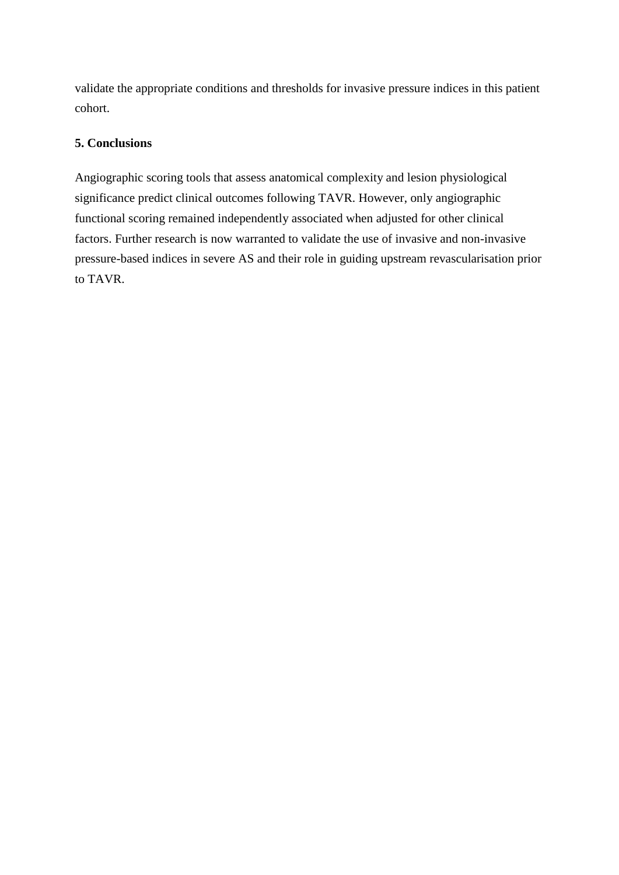validate the appropriate conditions and thresholds for invasive pressure indices in this patient cohort.

## **5. Conclusions**

Angiographic scoring tools that assess anatomical complexity and lesion physiological significance predict clinical outcomes following TAVR. However, only angiographic functional scoring remained independently associated when adjusted for other clinical factors. Further research is now warranted to validate the use of invasive and non-invasive pressure-based indices in severe AS and their role in guiding upstream revascularisation prior to TAVR.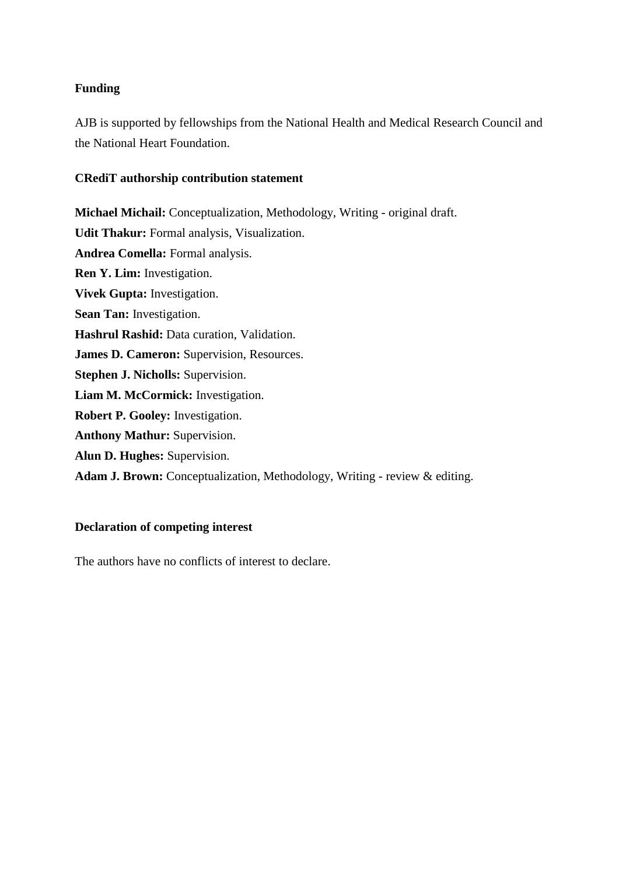## **Funding**

AJB is supported by fellowships from the National Health and Medical Research Council and the National Heart Foundation.

## **CRediT authorship contribution statement**

**Michael Michail:** Conceptualization, Methodology, Writing - original draft. **Udit Thakur:** Formal analysis, Visualization. **Andrea Comella:** Formal analysis. **Ren Y. Lim:** Investigation. **Vivek Gupta:** Investigation. **Sean Tan:** Investigation. **Hashrul Rashid:** Data curation, Validation. **James D. Cameron:** Supervision, Resources. **Stephen J. Nicholls:** Supervision. **Liam M. McCormick:** Investigation. **Robert P. Gooley:** Investigation. **Anthony Mathur:** Supervision. **Alun D. Hughes:** Supervision. **Adam J. Brown:** Conceptualization, Methodology, Writing - review & editing.

## **Declaration of competing interest**

The authors have no conflicts of interest to declare.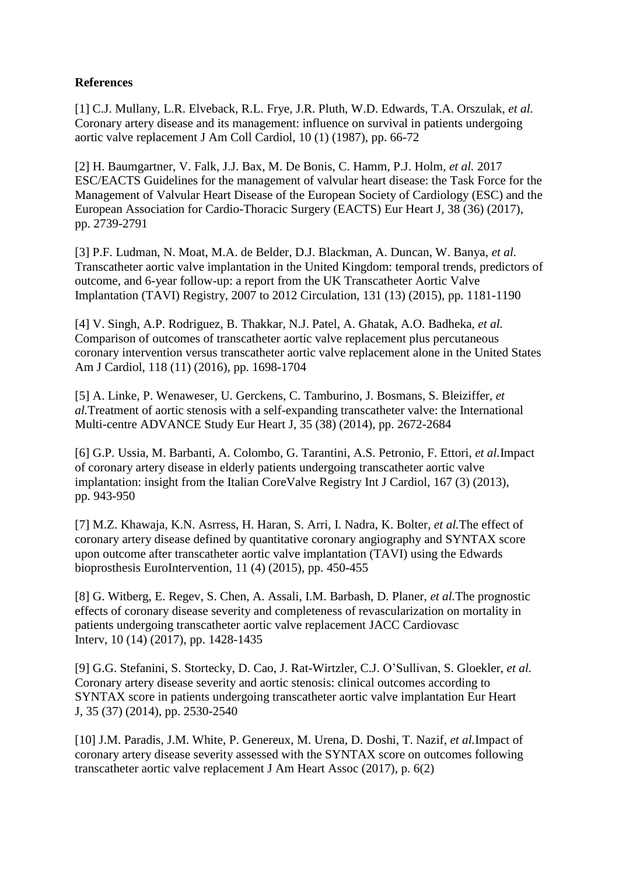## **References**

[1] C.J. Mullany, L.R. Elveback, R.L. Frye, J.R. Pluth, W.D. Edwards, T.A. Orszulak, *et al.* Coronary artery disease and its management: influence on survival in patients undergoing aortic valve replacement J Am Coll Cardiol, 10 (1) (1987), pp. 66-72

[2] H. Baumgartner, V. Falk, J.J. Bax, M. De Bonis, C. Hamm, P.J. Holm, *et al.* 2017 ESC/EACTS Guidelines for the management of valvular heart disease: the Task Force for the Management of Valvular Heart Disease of the European Society of Cardiology (ESC) and the European Association for Cardio-Thoracic Surgery (EACTS) Eur Heart J, 38 (36) (2017), pp. 2739-2791

[3] P.F. Ludman, N. Moat, M.A. de Belder, D.J. Blackman, A. Duncan, W. Banya, *et al.* Transcatheter aortic valve implantation in the United Kingdom: temporal trends, predictors of outcome, and 6-year follow-up: a report from the UK Transcatheter Aortic Valve Implantation (TAVI) Registry, 2007 to 2012 Circulation, 131 (13) (2015), pp. 1181-1190

[4] V. Singh, A.P. Rodriguez, B. Thakkar, N.J. Patel, A. Ghatak, A.O. Badheka, *et al.* Comparison of outcomes of transcatheter aortic valve replacement plus percutaneous coronary intervention versus transcatheter aortic valve replacement alone in the United States Am J Cardiol, 118 (11) (2016), pp. 1698-1704

[5] A. Linke, P. Wenaweser, U. Gerckens, C. Tamburino, J. Bosmans, S. Bleiziffer, *et al.*Treatment of aortic stenosis with a self-expanding transcatheter valve: the International Multi-centre ADVANCE Study Eur Heart J, 35 (38) (2014), pp. 2672-2684

[6] G.P. Ussia, M. Barbanti, A. Colombo, G. Tarantini, A.S. Petronio, F. Ettori, *et al.*Impact of coronary artery disease in elderly patients undergoing transcatheter aortic valve implantation: insight from the Italian CoreValve Registry Int J Cardiol, 167 (3) (2013), pp. 943-950

[7] M.Z. Khawaja, K.N. Asrress, H. Haran, S. Arri, I. Nadra, K. Bolter, *et al.*The effect of coronary artery disease defined by quantitative coronary angiography and SYNTAX score upon outcome after transcatheter aortic valve implantation (TAVI) using the Edwards bioprosthesis EuroIntervention, 11 (4) (2015), pp. 450-455

[8] G. Witberg, E. Regev, S. Chen, A. Assali, I.M. Barbash, D. Planer, *et al.*The prognostic effects of coronary disease severity and completeness of revascularization on mortality in patients undergoing transcatheter aortic valve replacement JACC Cardiovasc Interv, 10 (14) (2017), pp. 1428-1435

[9] G.G. Stefanini, S. Stortecky, D. Cao, J. Rat-Wirtzler, C.J. O'Sullivan, S. Gloekler, *et al.* Coronary artery disease severity and aortic stenosis: clinical outcomes according to SYNTAX score in patients undergoing transcatheter aortic valve implantation Eur Heart J, 35 (37) (2014), pp. 2530-2540

[10] J.M. Paradis, J.M. White, P. Genereux, M. Urena, D. Doshi, T. Nazif, *et al.*Impact of coronary artery disease severity assessed with the SYNTAX score on outcomes following transcatheter aortic valve replacement J Am Heart Assoc (2017), p. 6(2)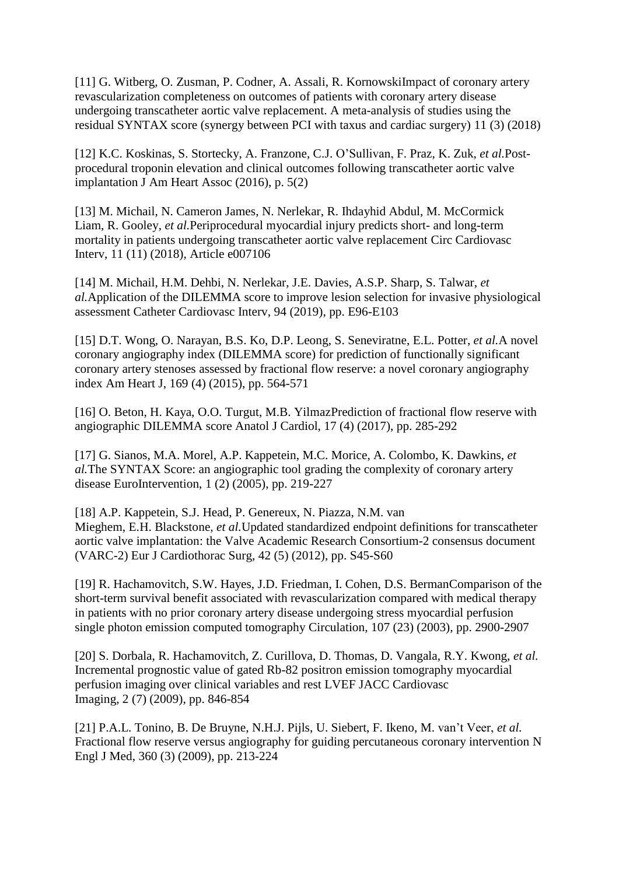[11] G. Witberg, O. Zusman, P. Codner, A. Assali, R. KornowskiImpact of coronary artery revascularization completeness on outcomes of patients with coronary artery disease undergoing transcatheter aortic valve replacement. A meta-analysis of studies using the residual SYNTAX score (synergy between PCI with taxus and cardiac surgery) 11 (3) (2018)

[12] K.C. Koskinas, S. Stortecky, A. Franzone, C.J. O'Sullivan, F. Praz, K. Zuk, *et al.*Postprocedural troponin elevation and clinical outcomes following transcatheter aortic valve implantation J Am Heart Assoc (2016), p. 5(2)

[13] M. Michail, N. Cameron James, N. Nerlekar, R. Ihdayhid Abdul, M. McCormick Liam, R. Gooley, *et al.*Periprocedural myocardial injury predicts short- and long-term mortality in patients undergoing transcatheter aortic valve replacement Circ Cardiovasc Interv, 11 (11) (2018), Article e007106

[14] M. Michail, H.M. Dehbi, N. Nerlekar, J.E. Davies, A.S.P. Sharp, S. Talwar, *et al.*Application of the DILEMMA score to improve lesion selection for invasive physiological assessment Catheter Cardiovasc Interv, 94 (2019), pp. E96-E103

[15] D.T. Wong, O. Narayan, B.S. Ko, D.P. Leong, S. Seneviratne, E.L. Potter, *et al.*A novel coronary angiography index (DILEMMA score) for prediction of functionally significant coronary artery stenoses assessed by fractional flow reserve: a novel coronary angiography index Am Heart J, 169 (4) (2015), pp. 564-571

[16] O. Beton, H. Kaya, O.O. Turgut, M.B. YilmazPrediction of fractional flow reserve with angiographic DILEMMA score Anatol J Cardiol, 17 (4) (2017), pp. 285-292

[17] G. Sianos, M.A. Morel, A.P. Kappetein, M.C. Morice, A. Colombo, K. Dawkins, *et al.*The SYNTAX Score: an angiographic tool grading the complexity of coronary artery disease EuroIntervention, 1 (2) (2005), pp. 219-227

[18] A.P. Kappetein, S.J. Head, P. Genereux, N. Piazza, N.M. van Mieghem, E.H. Blackstone, *et al.*Updated standardized endpoint definitions for transcatheter aortic valve implantation: the Valve Academic Research Consortium-2 consensus document (VARC-2) Eur J Cardiothorac Surg, 42 (5) (2012), pp. S45-S60

[19] R. Hachamovitch, S.W. Hayes, J.D. Friedman, I. Cohen, D.S. BermanComparison of the short-term survival benefit associated with revascularization compared with medical therapy in patients with no prior coronary artery disease undergoing stress myocardial perfusion single photon emission computed tomography Circulation, 107 (23) (2003), pp. 2900-2907

[20] S. Dorbala, R. Hachamovitch, Z. Curillova, D. Thomas, D. Vangala, R.Y. Kwong, *et al.* Incremental prognostic value of gated Rb-82 positron emission tomography myocardial perfusion imaging over clinical variables and rest LVEF JACC Cardiovasc Imaging, 2 (7) (2009), pp. 846-854

[21] P.A.L. Tonino, B. De Bruyne, N.H.J. Pijls, U. Siebert, F. Ikeno, M. van't Veer, *et al.* Fractional flow reserve versus angiography for guiding percutaneous coronary intervention N Engl J Med, 360 (3) (2009), pp. 213-224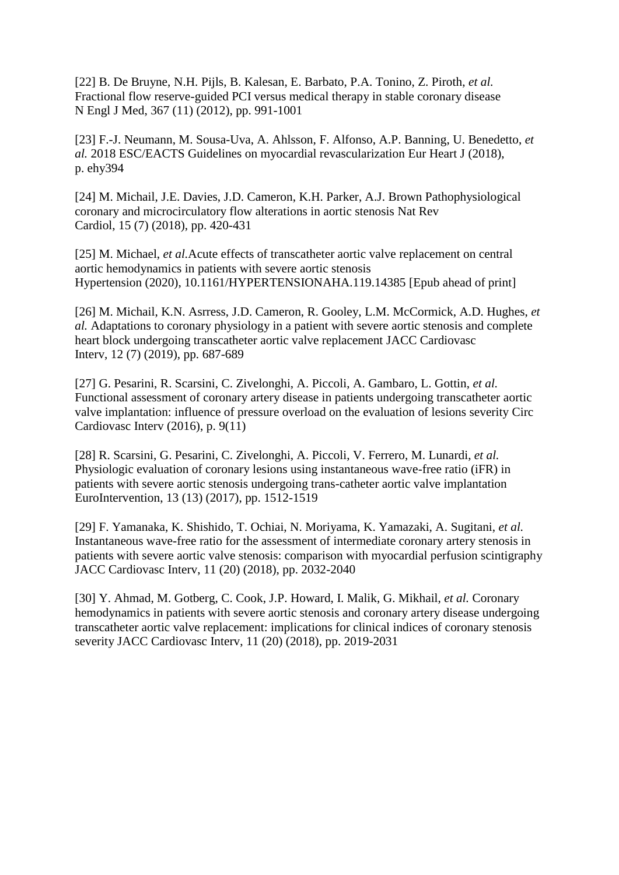[22] B. De Bruyne, N.H. Pijls, B. Kalesan, E. Barbato, P.A. Tonino, Z. Piroth, *et al.* Fractional flow reserve-guided PCI versus medical therapy in stable coronary disease N Engl J Med, 367 (11) (2012), pp. 991-1001

[23] F.-J. Neumann, M. Sousa-Uva, A. Ahlsson, F. Alfonso, A.P. Banning, U. Benedetto, *et al.* 2018 ESC/EACTS Guidelines on myocardial revascularization Eur Heart J (2018), p. ehy394

[24] M. Michail, J.E. Davies, J.D. Cameron, K.H. Parker, A.J. Brown Pathophysiological coronary and microcirculatory flow alterations in aortic stenosis Nat Rev Cardiol, 15 (7) (2018), pp. 420-431

[25] M. Michael, *et al.*Acute effects of transcatheter aortic valve replacement on central aortic hemodynamics in patients with severe aortic stenosis Hypertension (2020), 10.1161/HYPERTENSIONAHA.119.14385 [Epub ahead of print]

[26] M. Michail, K.N. Asrress, J.D. Cameron, R. Gooley, L.M. McCormick, A.D. Hughes, *et al.* Adaptations to coronary physiology in a patient with severe aortic stenosis and complete heart block undergoing transcatheter aortic valve replacement JACC Cardiovasc Interv, 12 (7) (2019), pp. 687-689

[27] G. Pesarini, R. Scarsini, C. Zivelonghi, A. Piccoli, A. Gambaro, L. Gottin, *et al.* Functional assessment of coronary artery disease in patients undergoing transcatheter aortic valve implantation: influence of pressure overload on the evaluation of lesions severity Circ Cardiovasc Interv (2016), p. 9(11)

[28] R. Scarsini, G. Pesarini, C. Zivelonghi, A. Piccoli, V. Ferrero, M. Lunardi, *et al.* Physiologic evaluation of coronary lesions using instantaneous wave-free ratio (iFR) in patients with severe aortic stenosis undergoing trans-catheter aortic valve implantation EuroIntervention, 13 (13) (2017), pp. 1512-1519

[29] F. Yamanaka, K. Shishido, T. Ochiai, N. Moriyama, K. Yamazaki, A. Sugitani, *et al.* Instantaneous wave-free ratio for the assessment of intermediate coronary artery stenosis in patients with severe aortic valve stenosis: comparison with myocardial perfusion scintigraphy JACC Cardiovasc Interv, 11 (20) (2018), pp. 2032-2040

[30] Y. Ahmad, M. Gotberg, C. Cook, J.P. Howard, I. Malik, G. Mikhail, *et al.* Coronary hemodynamics in patients with severe aortic stenosis and coronary artery disease undergoing transcatheter aortic valve replacement: implications for clinical indices of coronary stenosis severity JACC Cardiovasc Interv, 11 (20) (2018), pp. 2019-2031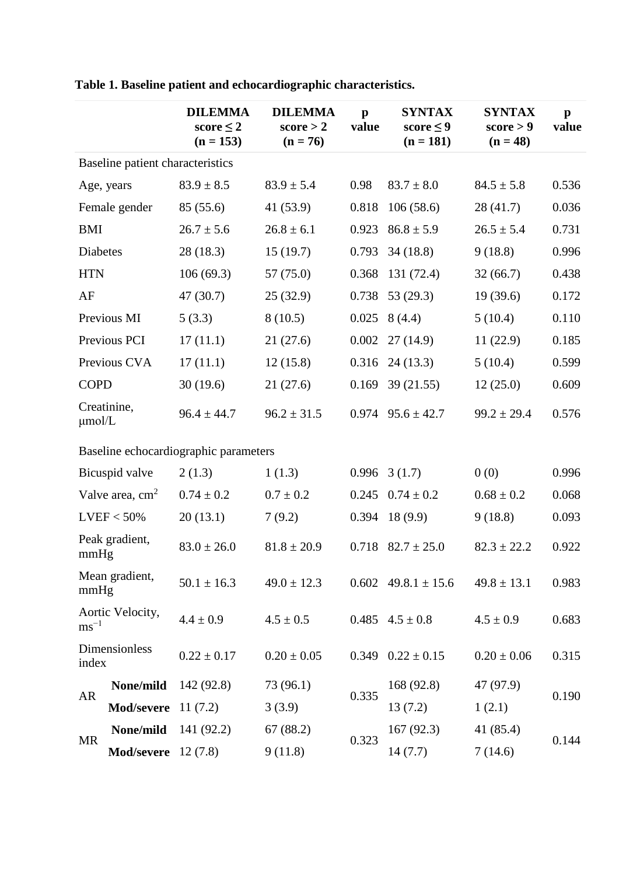|                                       |                            | <b>DILEMMA</b><br>score $\leq 2$<br>$(n = 153)$ | <b>DILEMMA</b><br>score > 2<br>$(n = 76)$ | $\mathbf{p}$<br>value | <b>SYNTAX</b><br>score $\leq 9$<br>$(n = 181)$ | <b>SYNTAX</b><br>score > 9<br>$(n = 48)$ | $\mathbf{p}$<br>value |  |
|---------------------------------------|----------------------------|-------------------------------------------------|-------------------------------------------|-----------------------|------------------------------------------------|------------------------------------------|-----------------------|--|
| Baseline patient characteristics      |                            |                                                 |                                           |                       |                                                |                                          |                       |  |
|                                       | Age, years                 | $83.9 \pm 8.5$                                  | $83.9 \pm 5.4$                            | 0.98                  | $83.7 \pm 8.0$                                 | $84.5 \pm 5.8$                           | 0.536                 |  |
|                                       | Female gender              | 85 (55.6)                                       | 41 (53.9)                                 | 0.818                 | 106(58.6)                                      | 28(41.7)                                 | 0.036                 |  |
| <b>BMI</b>                            |                            | $26.7 \pm 5.6$                                  | $26.8 \pm 6.1$                            | 0.923                 | $86.8 \pm 5.9$                                 | $26.5 \pm 5.4$                           | 0.731                 |  |
| Diabetes                              |                            | 28(18.3)                                        | 15(19.7)                                  | 0.793                 | 34(18.8)                                       | 9(18.8)                                  | 0.996                 |  |
| <b>HTN</b>                            |                            | 106(69.3)                                       | 57 (75.0)                                 | 0.368                 | 131(72.4)                                      | 32(66.7)                                 | 0.438                 |  |
| AF                                    |                            | 47(30.7)                                        | 25(32.9)                                  | 0.738                 | 53 $(29.3)$                                    | 19(39.6)                                 | 0.172                 |  |
| Previous MI                           |                            | 5(3.3)                                          | 8(10.5)                                   | 0.025                 | 8(4.4)                                         | 5(10.4)                                  | 0.110                 |  |
|                                       | Previous PCI               | 17(11.1)                                        | 21(27.6)                                  | 0.002                 | 27(14.9)                                       | 11(22.9)                                 | 0.185                 |  |
|                                       | Previous CVA               | 17(11.1)                                        | 12(15.8)                                  |                       | $0.316$ 24 (13.3)                              | 5(10.4)                                  | 0.599                 |  |
| <b>COPD</b>                           |                            | 30(19.6)                                        | 21(27.6)                                  |                       | $0.169$ 39 (21.55)                             | 12(25.0)                                 | 0.609                 |  |
| $\mu$ mol/L                           | Creatinine,                | $96.4 \pm 44.7$                                 | $96.2 \pm 31.5$                           |                       | $0.974$ $95.6 \pm 42.7$                        | $99.2 \pm 29.4$                          | 0.576                 |  |
| Baseline echocardiographic parameters |                            |                                                 |                                           |                       |                                                |                                          |                       |  |
| Bicuspid valve                        |                            | 2(1.3)                                          | 1(1.3)                                    |                       | $0.996 \quad 3(1.7)$                           | 0(0)                                     | 0.996                 |  |
| Valve area, $cm2$                     |                            | $0.74 \pm 0.2$                                  | $0.7 \pm 0.2$                             | 0.245                 | $0.74 \pm 0.2$                                 | $0.68 \pm 0.2$                           | 0.068                 |  |
| $LVEF < 50\%$                         |                            | 20(13.1)                                        | 7(9.2)                                    | 0.394                 | 18(9.9)                                        | 9(18.8)                                  | 0.093                 |  |
| Peak gradient,<br>mmHg                |                            | $83.0 \pm 26.0$                                 | $81.8 \pm 20.9$                           |                       | $0.718$ $82.7 \pm 25.0$                        | $82.3 \pm 22.2$                          | 0.922                 |  |
| Mean gradient,<br>mmHg                |                            | $50.1 \pm 16.3$                                 | $49.0 \pm 12.3$                           |                       | $0.602$ 49.8.1 ± 15.6                          | $49.8 \pm 13.1$                          | 0.983                 |  |
| $\text{ms}^{-1}$                      | Aortic Velocity,           | $4.4 \pm 0.9$                                   | $4.5 \pm 0.5$                             |                       | $0.485 \quad 4.5 \pm 0.8$                      | $4.5 \pm 0.9$                            | 0.683                 |  |
| index                                 | Dimensionless              | $0.22 \pm 0.17$                                 | $0.20 \pm 0.05$                           |                       | $0.349$ $0.22 \pm 0.15$                        | $0.20 \pm 0.06$                          | 0.315                 |  |
|                                       | None/mild                  | 142 (92.8)                                      | 73 (96.1)                                 | 0.335                 | 168 (92.8)                                     | 47 (97.9)                                | 0.190                 |  |
| <b>AR</b>                             | Mod/severe                 | 11(7.2)                                         | 3(3.9)                                    |                       | 13(7.2)                                        | 1(2.1)                                   |                       |  |
| <b>MR</b>                             | None/mild                  | 141 (92.2)                                      | 67 (88.2)                                 |                       | 167(92.3)                                      | 41 (85.4)                                | 0.144                 |  |
|                                       | <b>Mod/severe</b> 12 (7.8) |                                                 | 9(11.8)                                   | 0.323                 | 14(7.7)                                        | 7(14.6)                                  |                       |  |

**Table 1. Baseline patient and echocardiographic characteristics.**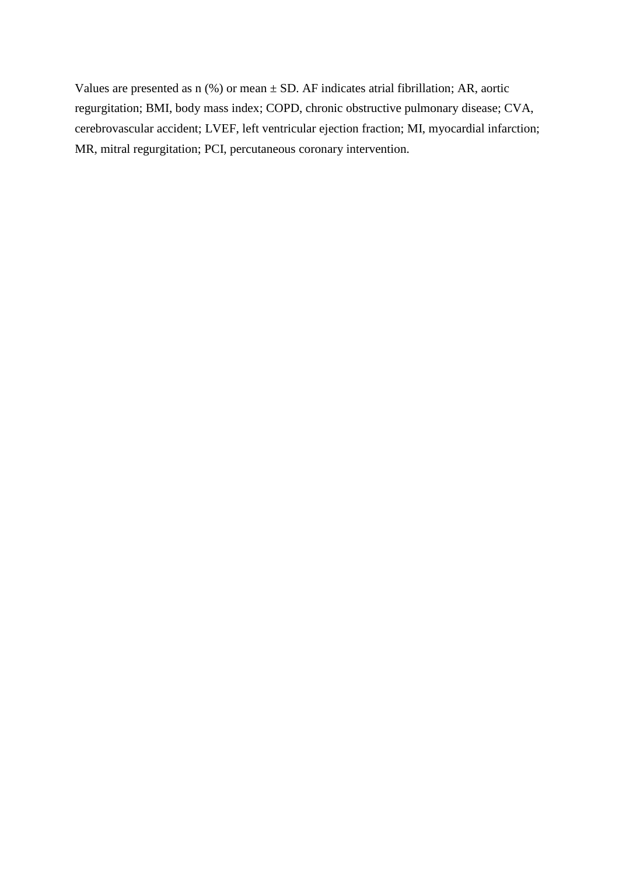Values are presented as  $n$  (%) or mean  $\pm$  SD. AF indicates atrial fibrillation; AR, aortic regurgitation; BMI, body mass index; COPD, chronic obstructive pulmonary disease; CVA, cerebrovascular accident; LVEF, left ventricular ejection fraction; MI, myocardial infarction; MR, mitral regurgitation; PCI, percutaneous coronary intervention.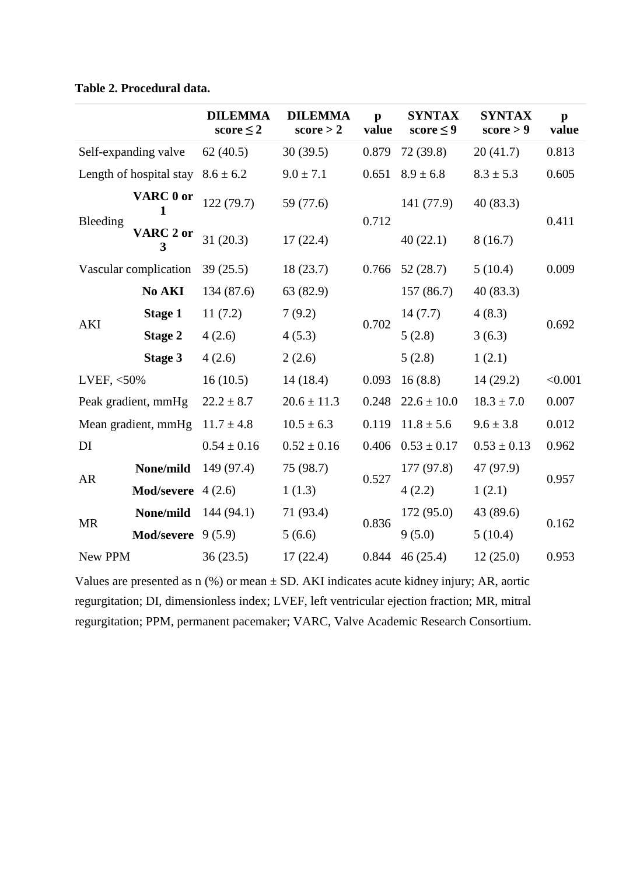|                         |                            | <b>DILEMMA</b><br>score $\leq$ 2 | <b>DILEMMA</b><br>score > 2 | $\mathbf{p}$<br>value | <b>SYNTAX</b><br>score $\leq 9$ | <b>SYNTAX</b><br>score > 9 | $\mathbf{p}$<br>value |
|-------------------------|----------------------------|----------------------------------|-----------------------------|-----------------------|---------------------------------|----------------------------|-----------------------|
| Self-expanding valve    |                            | 62(40.5)                         | 30(39.5)                    | 0.879                 | 72 (39.8)                       | 20(41.7)                   | 0.813                 |
| Length of hospital stay |                            | $8.6 \pm 6.2$                    | $9.0 \pm 7.1$               | 0.651                 | $8.9 \pm 6.8$                   | $8.3 \pm 5.3$              | 0.605                 |
| Bleeding                | VARC 0 or                  | 122 (79.7)                       | 59 (77.6)                   | 0.712                 | 141 (77.9)                      | 40(83.3)                   | 0.411                 |
|                         | <b>VARC 2 or</b><br>3      | 31(20.3)                         | 17(22.4)                    |                       | 40(22.1)                        | 8(16.7)                    |                       |
| Vascular complication   |                            | 39(25.5)                         | 18(23.7)                    | 0.766                 | 52(28.7)                        | 5(10.4)                    | 0.009                 |
| <b>AKI</b>              | No AKI                     | 134 (87.6)                       | 63 (82.9)                   |                       | 157(86.7)                       | 40(83.3)                   | 0.692                 |
|                         | <b>Stage 1</b>             | 11(7.2)                          | 7(9.2)                      | 0.702                 | 14(7.7)                         | 4(8.3)                     |                       |
|                         | <b>Stage 2</b>             | 4(2.6)                           | 4(5.3)                      |                       | 5(2.8)                          | 3(6.3)                     |                       |
|                         | Stage 3                    | 4(2.6)                           | 2(2.6)                      |                       | 5(2.8)                          | 1(2.1)                     |                       |
| LVEF, $<$ 50%           |                            | 16(10.5)                         | 14(18.4)                    | 0.093                 | 16(8.8)                         | 14(29.2)                   | < 0.001               |
| Peak gradient, mmHg     |                            | $22.2 \pm 8.7$                   | $20.6 \pm 11.3$             | 0.248                 | $22.6 \pm 10.0$                 | $18.3 \pm 7.0$             | 0.007                 |
| Mean gradient, mmHg     |                            | $11.7 \pm 4.8$                   | $10.5 \pm 6.3$              | 0.119                 | $11.8 \pm 5.6$                  | $9.6 \pm 3.8$              | 0.012                 |
| DI                      |                            | $0.54 \pm 0.16$                  | $0.52 \pm 0.16$             | 0.406                 | $0.53 \pm 0.17$                 | $0.53 \pm 0.13$            | 0.962                 |
|                         | None/mild                  | 149 (97.4)                       | 75 (98.7)                   |                       | 177(97.8)                       | 47 (97.9)                  | 0.957                 |
| <b>AR</b>               | <b>Mod/severe</b> $4(2.6)$ |                                  | 1(1.3)                      | 0.527                 | 4(2.2)                          | 1(2.1)                     |                       |
| <b>MR</b>               | None/mild                  | 144(94.1)                        | 71 (93.4)                   |                       | 172(95.0)                       | 43 (89.6)                  | 0.162                 |
|                         | <b>Mod/severe</b> $9(5.9)$ |                                  | 5(6.6)                      | 0.836                 | 9(5.0)                          | 5(10.4)                    |                       |
| New PPM                 |                            | 36(23.5)                         | 17(22.4)                    | 0.844                 | 46(25.4)                        | 12(25.0)                   | 0.953                 |

Values are presented as  $n$  (%) or mean  $\pm$  SD. AKI indicates acute kidney injury; AR, aortic regurgitation; DI, dimensionless index; LVEF, left ventricular ejection fraction; MR, mitral regurgitation; PPM, permanent pacemaker; VARC, Valve Academic Research Consortium.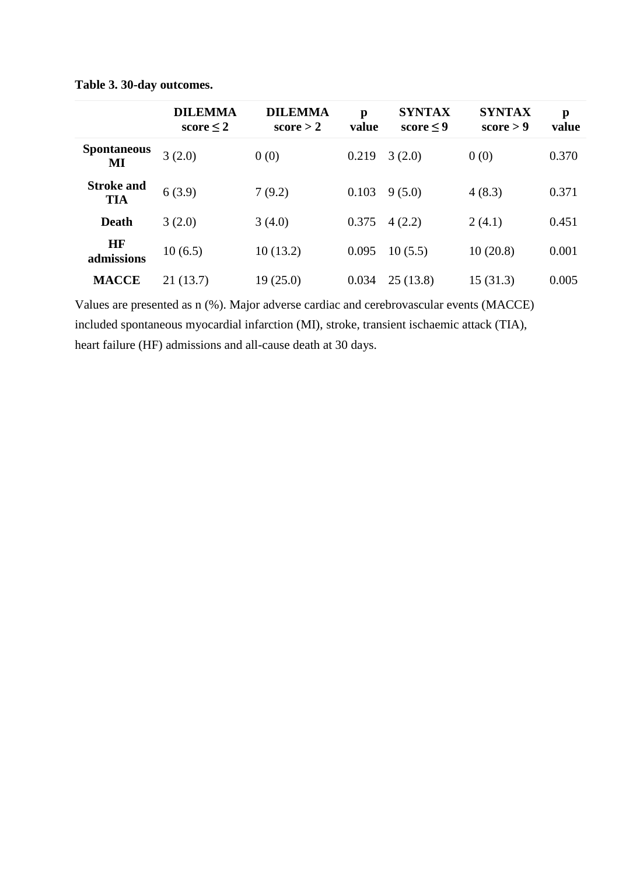|                                 | <b>DILEMMA</b><br>score $\leq 2$ | <b>DILEMMA</b><br>score $> 2$ | p<br>value | <b>SYNTAX</b><br>score $\leq 9$ | <b>SYNTAX</b><br>score > 9 | $\mathbf{p}$<br>value |
|---------------------------------|----------------------------------|-------------------------------|------------|---------------------------------|----------------------------|-----------------------|
| <b>Spontaneous</b><br>MI        | 3(2.0)                           | 0(0)                          | 0.219      | 3(2.0)                          | 0(0)                       | 0.370                 |
| <b>Stroke and</b><br><b>TIA</b> | 6(3.9)                           | 7(9.2)                        | 0.103      | 9(5.0)                          | 4(8.3)                     | 0.371                 |
| <b>Death</b>                    | 3(2.0)                           | 3(4.0)                        | 0.375      | 4(2.2)                          | 2(4.1)                     | 0.451                 |
| <b>HF</b><br>admissions         | 10(6.5)                          | 10(13.2)                      | 0.095      | 10(5.5)                         | 10(20.8)                   | 0.001                 |
| <b>MACCE</b>                    | 21(13.7)                         | 19(25.0)                      | 0.034      | 25(13.8)                        | 15(31.3)                   | 0.005                 |

**Table 3. 30-day outcomes.**

Values are presented as n (%). Major adverse cardiac and cerebrovascular events (MACCE) included spontaneous myocardial infarction (MI), stroke, transient ischaemic attack (TIA), heart failure (HF) admissions and all-cause death at 30 days.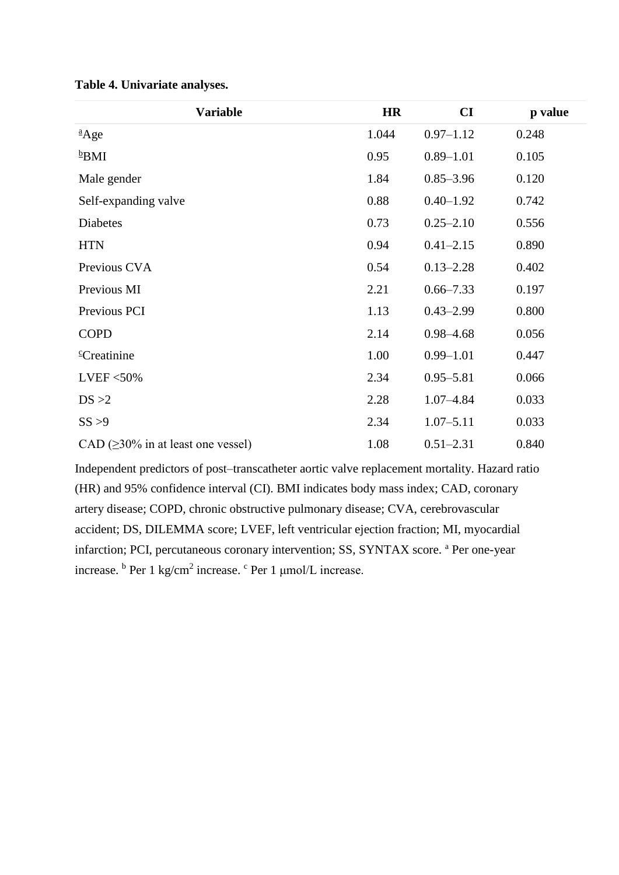| <b>Variable</b>                          | <b>HR</b> | CI            | p value |
|------------------------------------------|-----------|---------------|---------|
| $^{a}$ Age                               | 1.044     | $0.97 - 1.12$ | 0.248   |
| $b$ BMI                                  | 0.95      | $0.89 - 1.01$ | 0.105   |
| Male gender                              | 1.84      | $0.85 - 3.96$ | 0.120   |
| Self-expanding valve                     | 0.88      | $0.40 - 1.92$ | 0.742   |
| Diabetes                                 | 0.73      | $0.25 - 2.10$ | 0.556   |
| <b>HTN</b>                               | 0.94      | $0.41 - 2.15$ | 0.890   |
| Previous CVA                             | 0.54      | $0.13 - 2.28$ | 0.402   |
| Previous MI                              | 2.21      | $0.66 - 7.33$ | 0.197   |
| Previous PCI                             | 1.13      | $0.43 - 2.99$ | 0.800   |
| <b>COPD</b>                              | 2.14      | $0.98 - 4.68$ | 0.056   |
| <sup>c</sup> Creatinine                  | 1.00      | $0.99 - 1.01$ | 0.447   |
| LVEF $<$ 50%                             | 2.34      | $0.95 - 5.81$ | 0.066   |
| DS > 2                                   | 2.28      | $1.07 - 4.84$ | 0.033   |
| SS > 9                                   | 2.34      | $1.07 - 5.11$ | 0.033   |
| CAD $(\geq 30\%$ in at least one vessel) | 1.08      | $0.51 - 2.31$ | 0.840   |

**Table 4. Univariate analyses.**

Independent predictors of post–transcatheter aortic valve replacement mortality. Hazard ratio (HR) and 95% confidence interval (CI). BMI indicates body mass index; CAD, coronary artery disease; COPD, chronic obstructive pulmonary disease; CVA, cerebrovascular accident; DS, DILEMMA score; LVEF, left ventricular ejection fraction; MI, myocardial infarction; PCI, percutaneous coronary intervention; SS, SYNTAX score. <sup>a</sup> Per one-year increase. <sup>b</sup> Per 1 kg/cm<sup>2</sup> increase. <sup>c</sup> Per 1 μmol/L increase.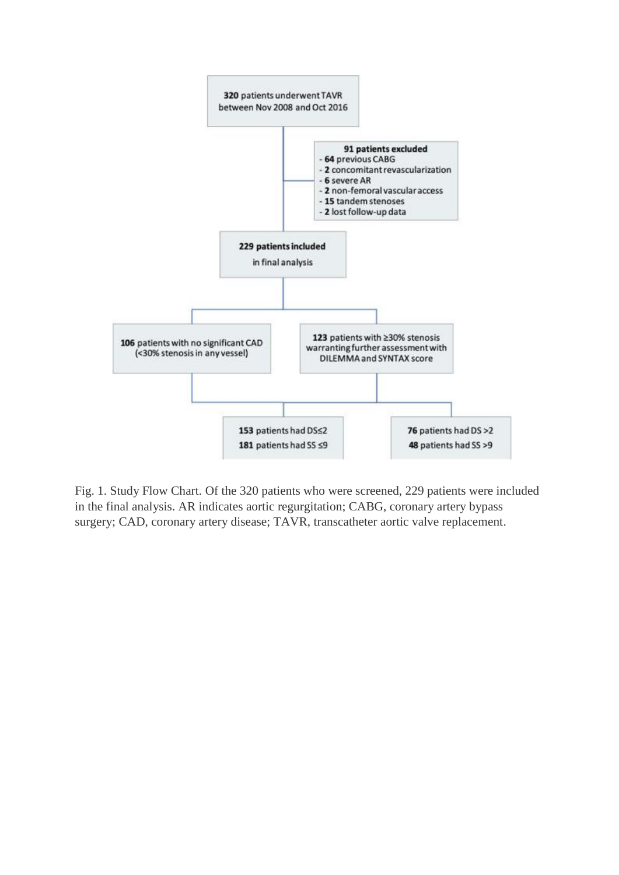

Fig. 1. Study Flow Chart. Of the 320 patients who were screened, 229 patients were included in the final analysis. AR indicates aortic regurgitation; CABG, coronary artery bypass surgery; CAD, coronary artery disease; TAVR, transcatheter aortic valve replacement.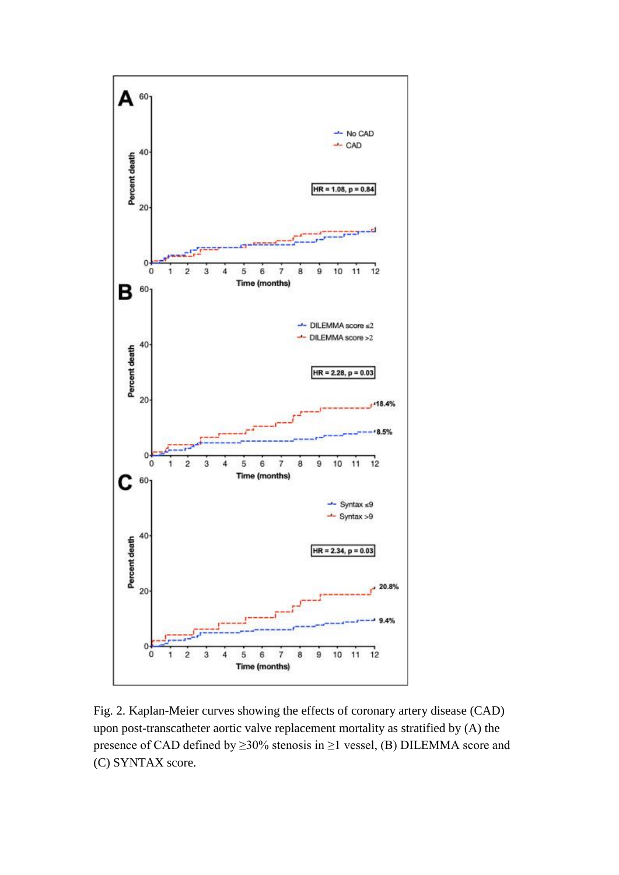

Fig. 2. Kaplan-Meier curves showing the effects of coronary artery disease (CAD) upon post-transcatheter aortic valve replacement mortality as stratified by (A) the presence of CAD defined by ≥30% stenosis in ≥1 vessel, (B) DILEMMA score and (C) SYNTAX score.